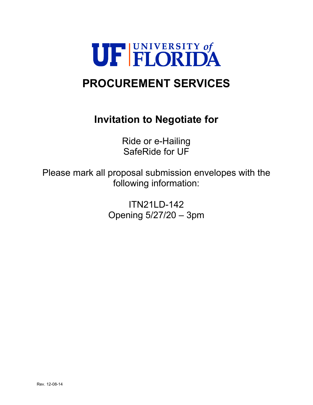

# **PROCUREMENT SERVICES**

# **Invitation to Negotiate for**

Ride or e-Hailing SafeRide for UF

Please mark all proposal submission envelopes with the following information:

> ITN21LD-142 Opening 5/27/20 – 3pm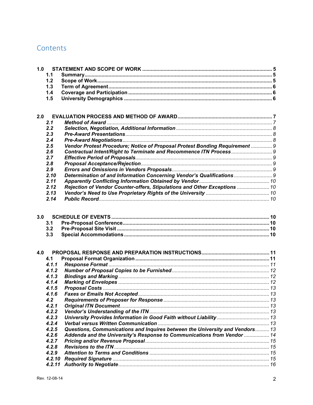# Contents

| 1.0 |                |                                                                              |  |
|-----|----------------|------------------------------------------------------------------------------|--|
|     | 1.1            |                                                                              |  |
|     | 1.2            |                                                                              |  |
|     | 1.3            |                                                                              |  |
|     | 1.4            |                                                                              |  |
|     | 1.5            |                                                                              |  |
|     |                |                                                                              |  |
|     |                |                                                                              |  |
| 2.0 |                |                                                                              |  |
|     | 2.1            |                                                                              |  |
|     | 2.2            |                                                                              |  |
|     | 2.3            |                                                                              |  |
|     | 2.4            |                                                                              |  |
|     | 2.5            | Vendor Protest Procedure; Notice of Proposal Protest Bonding Requirement  9  |  |
|     | 2.6            |                                                                              |  |
|     | 2.7            |                                                                              |  |
|     | 2.8            |                                                                              |  |
|     | 2.9            |                                                                              |  |
|     | 2.10           | Determination of and Information Concerning Vendor's Qualifications  9       |  |
|     | 2.11           |                                                                              |  |
|     | 2.12           | Rejection of Vendor Counter-offers, Stipulations and Other Exceptions  10    |  |
|     | 2.13           |                                                                              |  |
|     | 2.14           |                                                                              |  |
|     |                |                                                                              |  |
| 3.0 |                |                                                                              |  |
|     | 3.1            |                                                                              |  |
|     | 3.2            |                                                                              |  |
|     | 3.3            |                                                                              |  |
|     |                |                                                                              |  |
|     |                |                                                                              |  |
| 4.0 |                |                                                                              |  |
|     | 4.1            |                                                                              |  |
|     | 4.1.1          |                                                                              |  |
|     | 4.1.2          |                                                                              |  |
|     | 4.1.3          |                                                                              |  |
|     | 4.1.4          |                                                                              |  |
|     | 4.1.5          |                                                                              |  |
|     | 4.1.6          |                                                                              |  |
|     | 4.2            |                                                                              |  |
|     | 4.2.1          |                                                                              |  |
|     | 4.2.2          |                                                                              |  |
|     | 4.2.3<br>4.2.4 | University Provides Information in Good Faith without Liability  13          |  |
|     | 4.2.5          |                                                                              |  |
|     | 4.2.6          | Questions, Communications and Inquires between the University and Vendors 13 |  |
|     |                | Addenda and the University's Response to Communications from Vendor  14      |  |
|     | 4.2.7<br>4.2.8 |                                                                              |  |
|     | 4.2.9          |                                                                              |  |
|     | 4.2.10         |                                                                              |  |
|     | 4.2.11         |                                                                              |  |
|     |                |                                                                              |  |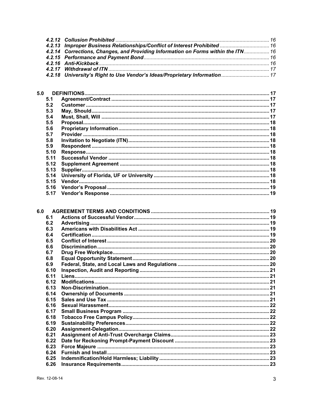| 4.2.13 Improper Business Relationships/Conflict of Interest Prohibited  16<br>4.2.14 Corrections, Changes, and Providing Information on Forms within the ITN 16<br>4.2.18 University's Right to Use Vendor's Ideas/Proprietary Information 17 |
|-----------------------------------------------------------------------------------------------------------------------------------------------------------------------------------------------------------------------------------------------|

| 5.0 |      |  |
|-----|------|--|
|     | 5.1  |  |
|     | 5.2  |  |
|     | 5.3  |  |
|     | 5.4  |  |
|     | 5.5  |  |
|     | 5.6  |  |
|     | 5.7  |  |
|     | 5.8  |  |
|     | 5.9  |  |
|     | 5.10 |  |
|     | 5.11 |  |
|     | 5.12 |  |
|     | 5.13 |  |
|     | 5.14 |  |
|     | 5.15 |  |
|     | 5.16 |  |
|     | 5.17 |  |
|     |      |  |

| 6.1  |  |
|------|--|
| 6.2  |  |
| 6.3  |  |
| 6.4  |  |
| 6.5  |  |
| 6.6  |  |
| 6.7  |  |
| 6.8  |  |
| 6.9  |  |
| 6.10 |  |
| 6.11 |  |
| 6.12 |  |
| 6.13 |  |
| 6.14 |  |
| 6.15 |  |
| 6.16 |  |
| 6.17 |  |
| 6.18 |  |
| 6.19 |  |
| 6.20 |  |
| 6.21 |  |
| 6.22 |  |
| 6.23 |  |
| 6.24 |  |
| 6.25 |  |
| 6.26 |  |
|      |  |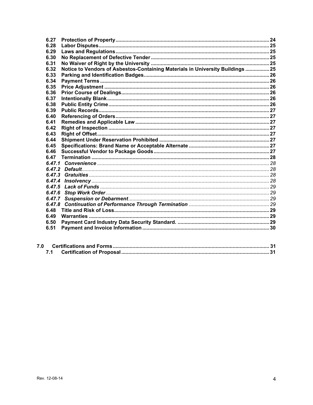| 6.27   |                                                                                |  |
|--------|--------------------------------------------------------------------------------|--|
| 6.28   |                                                                                |  |
| 6.29   |                                                                                |  |
| 6.30   |                                                                                |  |
| 6.31   |                                                                                |  |
| 6.32   | Notice to Vendors of Asbestos-Containing Materials in University Buildings  25 |  |
| 6.33   |                                                                                |  |
| 6.34   |                                                                                |  |
| 6.35   |                                                                                |  |
| 6.36   |                                                                                |  |
| 6.37   |                                                                                |  |
| 6.38   |                                                                                |  |
| 6.39   |                                                                                |  |
| 6.40   |                                                                                |  |
| 6.41   |                                                                                |  |
| 6.42   |                                                                                |  |
| 6.43   |                                                                                |  |
| 6.44   |                                                                                |  |
| 6.45   |                                                                                |  |
| 6.46   |                                                                                |  |
| 6.47   |                                                                                |  |
|        |                                                                                |  |
|        |                                                                                |  |
|        |                                                                                |  |
| 6.47.4 |                                                                                |  |
| 6.47.5 |                                                                                |  |
| 6.47.6 |                                                                                |  |
|        |                                                                                |  |
| 6.47.8 |                                                                                |  |
| 6.48   |                                                                                |  |
| 6.49   |                                                                                |  |
| 6.50   |                                                                                |  |
| 6.51   |                                                                                |  |
|        |                                                                                |  |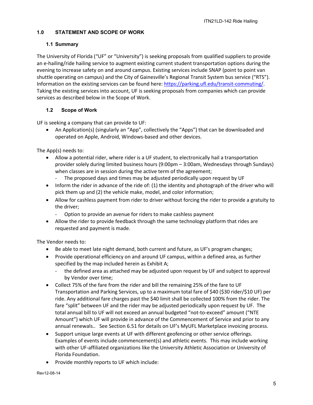# <span id="page-4-0"></span>**1.0 STATEMENT AND SCOPE OF WORK**

# <span id="page-4-1"></span>**1.1 Summary**

The University of Florida ("UF" or "University") is seeking proposals from qualified suppliers to provide an e-hailing/ride hailing service to augment existing current student transportation options during the evening to increase safety on and around campus. Existing services include SNAP (point to point van shuttle operating on campus) and the City of Gainesville's Regional Transit System bus service ("RTS"). Information on the existing services can be found here: [https://parking.ufl.edu/transit-commuting/.](https://parking.ufl.edu/transit-commuting/) Taking the existing services into account, UF is seeking proposals from companies which can provide services as described below in the Scope of Work.

# <span id="page-4-2"></span>**1.2 Scope of Work**

UF is seeking a company that can provide to UF:

• An Application(s) (singularly an "App", collectively the "Apps") that can be downloaded and operated on Apple, Android, Windows-based and other devices.

The App(s) needs to:

- Allow a potential rider, where rider is a UF student, to electronically hail a transportation provider solely during limited business hours (9:00pm – 3:00am, Wednesdays through Sundays) when classes are in session during the active term of the agreement;
	- The proposed days and times may be adjusted periodically upon request by UF
- Inform the rider in advance of the ride of: (1) the identity and photograph of the driver who will pick them up and (2) the vehicle make, model, and color information;
- Allow for cashless payment from rider to driver without forcing the rider to provide a gratuity to the driver;
	- Option to provide an avenue for riders to make cashless payment
- Allow the rider to provide feedback through the same technology platform that rides are requested and payment is made.

The Vendor needs to:

- Be able to meet late night demand, both current and future, as UF's program changes;
- Provide operational efficiency on and around UF campus, within a defined area, as further specified by the map included herein as Exhibit A;
	- the defined area as attached may be adjusted upon request by UF and subject to approval by Vendor over time;
- Collect 75% of the fare from the rider and bill the remaining 25% of the fare to UF Transportation and Parking Services, up to a maximum total fare of \$40 (\$30 rider/\$10 UF) per ride. Any additional fare charges past the \$40 limit shall be collected 100% from the rider. The fare "split" between UF and the rider may be adjusted periodically upon request by UF. The total annual bill to UF will not exceed an annual budgeted "not-to-exceed" amount ("NTE Amount") which UF will provide in advance of the Commencement of Service and prior to any annual renewals.. See Section 6.51 for details on UF's MyUFL Marketplace invoicing process.
- Support unique large events at UF with different geofencing or other service offerings. Examples of events include commencement(s) and athletic events. This may include working with other UF-affiliated organizations like the University Athletic Association or University of Florida Foundation.
- Provide monthly reports to UF which include: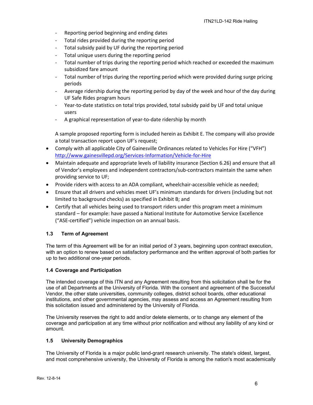- Reporting period beginning and ending dates
- Total rides provided during the reporting period
- Total subsidy paid by UF during the reporting period
- Total unique users during the reporting period
- Total number of trips during the reporting period which reached or exceeded the maximum subsidized fare amount
- Total number of trips during the reporting period which were provided during surge pricing periods
- Average ridership during the reporting period by day of the week and hour of the day during UF Safe Rides program hours
- Year-to-date statistics on total trips provided, total subsidy paid by UF and total unique users
- A graphical representation of year-to-date ridership by month

A sample proposed reporting form is included herein as Exhibit E. The company will also provide a total transaction report upon UF's request;

- Comply with all applicable City of Gainesville Ordinances related to Vehicles For Hire ("VFH") <http://www.gainesvillepd.org/Services-Information/Vehicle-for-Hire>
- Maintain adequate and appropriate levels of liability insurance (Section 6.26) and ensure that all of Vendor's employees and independent contractors/sub-contractors maintain the same when providing service to UF;
- Provide riders with access to an ADA compliant, wheelchair-accessible vehicle as needed;
- Ensure that all drivers and vehicles meet UF's minimum standards for drivers (including but not limited to background checks) as specified in Exhibit B; and
- Certify that all vehicles being used to transport riders under this program meet a minimum standard – for example: have passed a National Institute for Automotive Service Excellence ("ASE-certified") vehicle inspection on an annual basis.

# <span id="page-5-0"></span>**1.3 Term of Agreement**

The term of this Agreement will be for an initial period of 3 years, beginning upon contract execution, with an option to renew based on satisfactory performance and the written approval of both parties for up to two additional one-year periods.

# <span id="page-5-1"></span>**1.4 Coverage and Participation**

The intended coverage of this ITN and any Agreement resulting from this solicitation shall be for the use of all Departments at the University of Florida. With the consent and agreement of the Successful Vendor, the other state universities, community colleges, district school boards, other educational institutions, and other governmental agencies, may assess and access an Agreement resulting from this solicitation issued and administered by the University of Florida.

The University reserves the right to add and/or delete elements, or to change any element of the coverage and participation at any time without prior notification and without any liability of any kind or amount.

# <span id="page-5-2"></span>**1.5 University Demographics**

The University of Florida is a major public land-grant research university. The state's oldest, largest, and most comprehensive university, the University of Florida is among the nation's most academically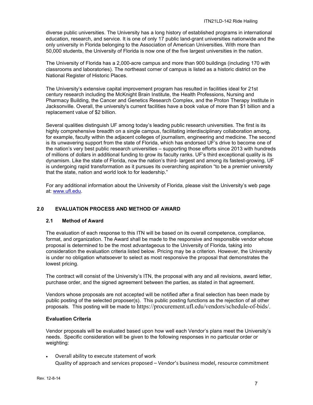diverse public universities. The University has a long history of established programs in international education, research, and service. It is one of only 17 public land-grant universities nationwide and the only university in Florida belonging to the Association of American Universities. With more than 50,000 students, the University of Florida is now one of the five largest universities in the nation.

The University of Florida has a 2,000-acre campus and more than 900 buildings (including 170 with classrooms and laboratories). The northeast corner of campus is listed as a historic district on the National Register of Historic Places.

The University's extensive capital improvement program has resulted in facilities ideal for 21st century research including the McKnight Brain Institute, the Health Professions, Nursing and Pharmacy Building, the Cancer and Genetics Research Complex, and the Proton Therapy Institute in Jacksonville. Overall, the university's current facilities have a book value of more than \$1 billion and a replacement value of \$2 billion.

Several qualities distinguish UF among today's leading public research universities. The first is its highly comprehensive breadth on a single campus, facilitating interdisciplinary collaboration among, for example, faculty within the adjacent colleges of journalism, engineering and medicine. The second is its unwavering support from the state of Florida, which has endorsed UF's drive to become one of the nation's very best public research universities – supporting those efforts since 2013 with hundreds of millions of dollars in additional funding to grow its faculty ranks. UF's third exceptional quality is its dynamism. Like the state of Florida, now the nation's third- largest and among its fastest-growing, UF is undergoing rapid transformation as it pursues its overarching aspiration "to be a premier university that the state, nation and world look to for leadership."

For any additional information about the University of Florida, please visit the University's web page at: [www.ufl.edu.](http://www.ufl.edu/)

# <span id="page-6-0"></span>**2.0 EVALUATION PROCESS AND METHOD OF AWARD**

# <span id="page-6-1"></span>**2.1 Method of Award**

The evaluation of each response to this ITN will be based on its overall competence, compliance, format, and organization. The Award shall be made to the responsive and responsible vendor whose proposal is determined to be the most advantageous to the University of Florida, taking into consideration the evaluation criteria listed below. Pricing may be a criterion. However, the University is under no obligation whatsoever to select as most responsive the proposal that demonstrates the lowest pricing.

The contract will consist of the University's ITN, the proposal with any and all revisions, award letter, purchase order, and the signed agreement between the parties, as stated in that agreement.

Vendors whose proposals are not accepted will be notified after a final selection has been made by public posting of the selected proposer(s). This public posting functions as the rejection of all other proposals. This posting will be made to https://procurement.ufl.edu/vendors/schedule-of-bids/.

#### **Evaluation Criteria**

Vendor proposals will be evaluated based upon how well each Vendor's plans meet the University's needs. Specific consideration will be given to the following responses in no particular order or weighting:

• Overall ability to execute statement of work Quality of approach and services proposed – Vendor's business model, resource commitment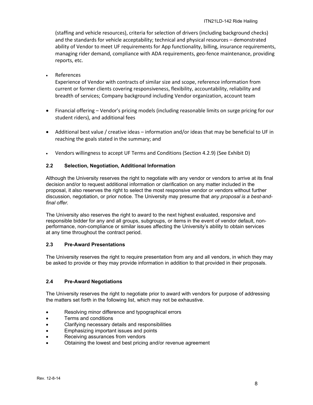(staffing and vehicle resources), criteria for selection of drivers (including background checks) and the standards for vehicle acceptability; technical and physical resources – demonstrated ability of Vendor to meet UF requirements for App functionality, billing, insurance requirements, managing rider demand, compliance with ADA requirements, geo-fence maintenance, providing reports, etc.

# **References**

Experience of Vendor with contracts of similar size and scope, reference information from current or former clients covering responsiveness, flexibility, accountability, reliability and breadth of services; Company background including Vendor organization, account team

- Financial offering Vendor's pricing models (including reasonable limits on surge pricing for our student riders), and additional fees
- Additional best value / creative ideas information and/or ideas that may be beneficial to UF in reaching the goals stated in the summary; and
- Vendors willingness to accept UF Terms and Conditions (Section 4.2.9) (See Exhibit D)

### <span id="page-7-0"></span>**2.2 Selection, Negotiation, Additional Information**

Although the University reserves the right to negotiate with any vendor or vendors to arrive at its final decision and/or to request additional information or clarification on any matter included in the proposal, it also reserves the right to select the most responsive vendor or vendors without further discussion, negotiation, or prior notice. The University may presume that *any proposal is a best-andfinal offer.*

The University also reserves the right to award to the next highest evaluated, responsive and responsible bidder for any and all groups, subgroups, or items in the event of vendor default, nonperformance, non-compliance or similar issues affecting the University's ability to obtain services at any time throughout the contract period.

#### <span id="page-7-1"></span>**2.3 Pre-Award Presentations**

The University reserves the right to require presentation from any and all vendors, in which they may be asked to provide or they may provide information in addition to that provided in their proposals.

# <span id="page-7-2"></span>**2.4 Pre-Award Negotiations**

The University reserves the right to negotiate prior to award with vendors for purpose of addressing the matters set forth in the following list, which may not be exhaustive.

- Resolving minor difference and typographical errors
- Terms and conditions
- Clarifying necessary details and responsibilities
- Emphasizing important issues and points
- Receiving assurances from vendors
- Obtaining the lowest and best pricing and/or revenue agreement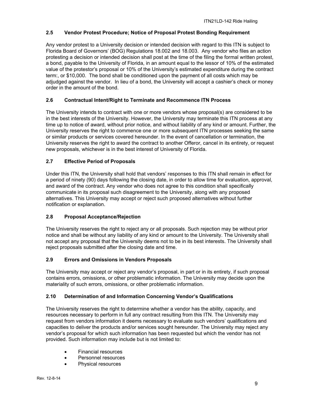## <span id="page-8-0"></span>**2.5 Vendor Protest Procedure; Notice of Proposal Protest Bonding Requirement**

Any vendor protest to a University decision or intended decision with regard to this ITN is subject to Florida Board of Governors' (BOG) Regulations 18.002 and 18.003. Any vendor who files an action protesting a decision or intended decision shall post at the time of the filing the formal written protest, a bond, payable to the University of Florida, in an amount equal to the lessor of 10% of the estimated value of the protestor's proposal or 10% of the University's estimated expenditure during the contract term:, or \$10,000. The bond shall be conditioned upon the payment of all costs which may be adjudged against the vendor. In lieu of a bond, the University will accept a cashier's check or money order in the amount of the bond.

### <span id="page-8-1"></span>**2.6 Contractual Intent/Right to Terminate and Recommence ITN Process**

The University intends to contract with one or more vendors whose proposal(s) are considered to be in the best interests of the University. However, the University may terminate this ITN process at any time up to notice of award, without prior notice, and without liability of any kind or amount. Further, the University reserves the right to commence one or more subsequent ITN processes seeking the same or similar products or services covered hereunder. In the event of cancellation or termination, the University reserves the right to award the contract to another Offeror, cancel in its entirety, or request new proposals, whichever is in the best interest of University of Florida.

#### <span id="page-8-2"></span>**2.7 Effective Period of Proposals**

Under this ITN, the University shall hold that vendors' responses to this ITN shall remain in effect for a period of ninety (90) days following the closing date, in order to allow time for evaluation, approval, and award of the contract. Any vendor who does not agree to this condition shall specifically communicate in its proposal such disagreement to the University, along with any proposed alternatives. This University may accept or reject such proposed alternatives without further notification or explanation.

# <span id="page-8-3"></span>**2.8 Proposal Acceptance/Rejection**

The University reserves the right to reject any or all proposals. Such rejection may be without prior notice and shall be without any liability of any kind or amount to the University. The University shall not accept any proposal that the University deems not to be in its best interests. The University shall reject proposals submitted after the closing date and time.

#### <span id="page-8-4"></span>**2.9 Errors and Omissions in Vendors Proposals**

The University may accept or reject any vendor's proposal, in part or in its entirety, if such proposal contains errors, omissions, or other problematic information. The University may decide upon the materiality of such errors, omissions, or other problematic information.

#### <span id="page-8-5"></span>**2.10 Determination of and Information Concerning Vendor's Qualifications**

The University reserves the right to determine whether a vendor has the ability, capacity, and resources necessary to perform in full any contract resulting from this ITN. The University may request from vendors information it deems necessary to evaluate such vendors' qualifications and capacities to deliver the products and/or services sought hereunder. The University may reject any vendor's proposal for which such information has been requested but which the vendor has not provided. Such information may include but is not limited to:

- Financial resources
- Personnel resources
- Physical resources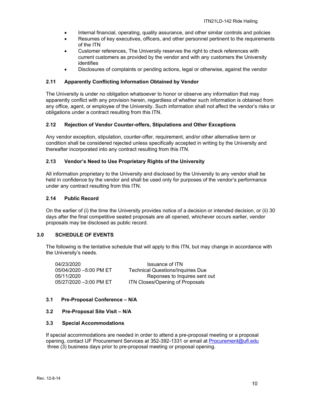- Internal financial, operating, quality assurance, and other similar controls and policies
- Resumes of key executives, officers, and other personnel pertinent to the requirements of the ITN
- Customer references, The University reserves the right to check references with current customers as provided by the vendor and with any customers the University identifies
- Disclosures of complaints or pending actions, legal or otherwise, against the vendor

#### <span id="page-9-0"></span>**2.11 Apparently Conflicting Information Obtained by Vendor**

The University is under no obligation whatsoever to honor or observe any information that may apparently conflict with any provision herein, regardless of whether such information is obtained from any office, agent, or employee of the University. Such information shall not affect the vendor's risks or obligations under a contract resulting from this ITN.

#### <span id="page-9-1"></span>**2.12 Rejection of Vendor Counter-offers, Stipulations and Other Exceptions**

Any vendor exception, stipulation, counter-offer, requirement, and/or other alternative term or condition shall be considered rejected unless specifically accepted in writing by the University and thereafter incorporated into any contract resulting from this ITN.

#### <span id="page-9-2"></span>**2.13 Vendor's Need to Use Proprietary Rights of the University**

All information proprietary to the University and disclosed by the University to any vendor shall be held in confidence by the vendor and shall be used only for purposes of the vendor's performance under any contract resulting from this ITN.

#### <span id="page-9-3"></span>**2.14 Public Record**

On the earlier of (i) the time the University provides notice of a decision or intended decision, or (ii) 30 days after the final competitive sealed proposals are all opened, whichever occurs earlier, vendor proposals may be disclosed as public record.

#### <span id="page-9-4"></span>**3.0 SCHEDULE OF EVENTS**

The following is the tentative schedule that will apply to this ITN, but may change in accordance with the University's needs.

| 04/23/2020             | Issuance of ITN                          |
|------------------------|------------------------------------------|
| 05/04/2020 -5:00 PM ET | <b>Technical Questions/Inquiries Due</b> |
| 05/11/2020             | Reponses to Inquires sent out            |
| 05/27/2020 -3:00 PM ET | ITN Closes/Opening of Proposals          |

#### <span id="page-9-5"></span>**3.1 Pre-Proposal Conference – N/A**

#### <span id="page-9-6"></span>**3.2 Pre-Proposal Site Visit – N/A**

#### <span id="page-9-7"></span>**3.3 Special Accommodations**

If special accommodations are needed in order to attend a pre-proposal meeting or a proposal opening, contact UF Procurement Services at 352-392-1331 or email at [Procurement@ufl.edu](mailto:Procurement@ufl.edu) three (3) business days prior to pre-proposal meeting or proposal opening.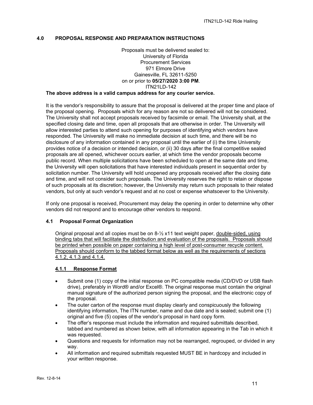#### <span id="page-10-0"></span>**4.0 PROPOSAL RESPONSE AND PREPARATION INSTRUCTIONS**

#### Proposals must be delivered sealed to: University of Florida Procurement Services 971 Elmore Drive Gainesville, FL 32611-5250 on or prior to **05/27/2020 3:00 PM**. ITN21LD-142 **The above address is a valid campus address for any courier service.**

It is the vendor's responsibility to assure that the proposal is delivered at the proper time and place of the proposal opening. Proposals which for any reason are not so delivered will not be considered. The University shall not accept proposals received by facsimile or email. The University shall, at the specified closing date and time, open all proposals that are otherwise in order. The University will allow interested parties to attend such opening for purposes of identifying which vendors have responded. The University will make no immediate decision at such time, and there will be no disclosure of any information contained in any proposal until the earlier of (i) the time University provides notice of a decision or intended decision, or (ii) 30 days after the final competitive sealed proposals are all opened, whichever occurs earlier, at which time the vendor proposals become public record. When multiple solicitations have been scheduled to open at the same date and time, the University will open solicitations that have interested individuals present in sequential order by solicitation number. The University will hold unopened any proposals received after the closing date and time, and will not consider such proposals. The University reserves the right to retain or dispose of such proposals at its discretion; however, the University may return such proposals to their related vendors, but only at such vendor's request and at no cost or expense whatsoever to the University.

If only one proposal is received, Procurement may delay the opening in order to determine why other vendors did not respond and to encourage other vendors to respond.

#### <span id="page-10-1"></span>**4.1 Proposal Format Organization**

Original proposal and all copies must be on  $8\frac{1}{2}$  x11 text weight paper, double-sided, using binding tabs that will facilitate the distribution and evaluation of the proposals. Proposals should be printed when possible on paper containing a high level of post-consumer recycle content. Proposals should conform to the tabbed format below as well as the requirements of sections 4.1.2, 4.1.3 and 4.1.4.

#### <span id="page-10-2"></span>**4.1.1 Response Format**

- Submit one (1) copy of the initial response on PC compatible media (CD/DVD or USB flash drive), preferably in Word® and/or Excel®. The original response must contain the original manual signature of the authorized person signing the proposal, and the electronic copy of the proposal.
- The outer carton of the response must display clearly and conspicuously the following identifying information, The ITN number, name and due date and is sealed; submit one (1) original and five (5) copies of the vendor's proposal in hard copy form.
- The offer's response must include the information and required submittals described, tabbed and numbered as shown below, with all information appearing in the Tab in which it was requested.
- Questions and requests for information may not be rearranged, regrouped, or divided in any way.
- All information and required submittals requested MUST BE in hardcopy and included in your written response.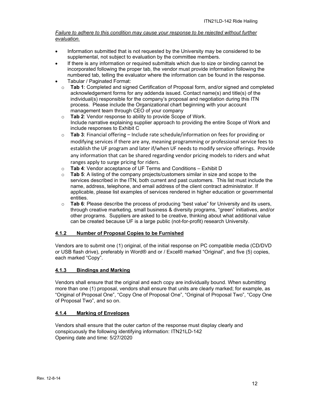### *Failure to adhere to this condition may cause your response to be rejected without further evaluation.*

- Information submitted that is not requested by the University may be considered to be supplemental, not subject to evaluation by the committee members.
- If there is any information or required submittals which due to size or binding cannot be incorporated following the proper tab, the vendor must provide information following the numbered tab, telling the evaluator where the information can be found in the response.
- Tabular / Paginated Format:
	- o **Tab 1**: Completed and signed Certification of Proposal form, and/or signed and completed acknowledgement forms for any addenda issued. Contact name(s) and title(s) of the individual(s) responsible for the company's proposal and negotiation during this ITN process. Please include the Organizational chart beginning with your account management team through CEO of your company
	- o **Tab 2**: Vendor response to ability to provide Scope of Work. Include narrative explaining supplier approach to providing the entire Scope of Work and include responses to Exhibit C
	- o **Tab 3**: Financial offering Include rate schedule/information on fees for providing or modifying services if there are any, meaning programming or professional service fees to establish the UF program and later if/when UF needs to modify service offerings. Provide any information that can be shared regarding vendor pricing models to riders and what ranges apply to surge pricing for riders.
	- o **Tab 4**: Vendor acceptance of UF Terms and Conditions Exhibit D
	- o **Tab 5**: A listing of the company projects/customers similar in size and scope to the services described in the ITN, both current and past customers. This list must include the name, address, telephone, and email address of the client contract administrator. If applicable, please list examples of services rendered in higher education or governmental entities.
	- o **Tab 6**: Please describe the process of producing "best value" for University and its users, through creative marketing, small business & diversity programs, "green" initiatives, and/or other programs. Suppliers are asked to be creative, thinking about what additional value can be created because UF is a large public (not-for-profit) research University.

# <span id="page-11-0"></span>**4.1.2 Number of Proposal Copies to be Furnished**

Vendors are to submit one (1) original, of the initial response on PC compatible media (CD/DVD or USB flash drive), preferably in Word® and or / Excel® marked "Original", and five (5) copies, each marked "Copy".

# <span id="page-11-1"></span>**4.1.3 Bindings and Marking**

Vendors shall ensure that the original and each copy are individually bound. When submitting more than one (1) proposal, vendors shall ensure that units are clearly marked; for example, as "Original of Proposal One", "Copy One of Proposal One", "Original of Proposal Two", "Copy One of Proposal Two", and so on.

# <span id="page-11-2"></span>**4.1.4 Marking of Envelopes**

Vendors shall ensure that the outer carton of the response must display clearly and conspicuously the following identifying information: ITN21LD-142 Opening date and time: 5/27/2020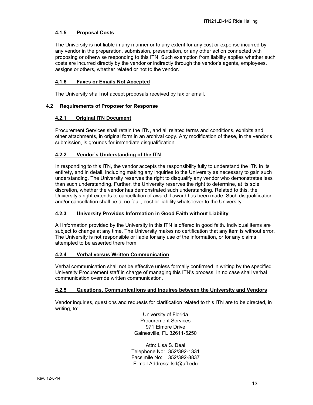# <span id="page-12-0"></span>**4.1.5 Proposal Costs**

The University is not liable in any manner or to any extent for any cost or expense incurred by any vendor in the preparation, submission, presentation, or any other action connected with proposing or otherwise responding to this ITN. Such exemption from liability applies whether such costs are incurred directly by the vendor or indirectly through the vendor's agents, employees, assigns or others, whether related or not to the vendor.

#### <span id="page-12-1"></span>**4.1.6 Faxes or Emails Not Accepted**

The University shall not accept proposals received by fax or email.

#### <span id="page-12-3"></span><span id="page-12-2"></span>**4.2 Requirements of Proposer for Response**

#### **4.2.1 Original ITN Document**

Procurement Services shall retain the ITN, and all related terms and conditions, exhibits and other attachments, in original form in an archival copy. Any modification of these, in the vendor's submission, is grounds for immediate disqualification.

# <span id="page-12-4"></span>**4.2.2 Vendor's Understanding of the ITN**

In responding to this ITN, the vendor accepts the responsibility fully to understand the ITN in its entirety, and in detail, including making any inquiries to the University as necessary to gain such understanding. The University reserves the right to disqualify any vendor who demonstrates less than such understanding. Further, the University reserves the right to determine, at its sole discretion, whether the vendor has demonstrated such understanding. Related to this, the University's right extends to cancellation of award if award has been made. Such disqualification and/or cancellation shall be at no fault, cost or liability whatsoever to the University.

#### <span id="page-12-5"></span>**4.2.3 University Provides Information in Good Faith without Liability**

All information provided by the University in this ITN is offered in good faith. Individual items are subject to change at any time. The University makes no certification that any item is without error. The University is not responsible or liable for any use of the information, or for any claims attempted to be asserted there from.

#### <span id="page-12-6"></span>**4.2.4 Verbal versus Written Communication**

Verbal communication shall not be effective unless formally confirmed in writing by the specified University Procurement staff in charge of managing this ITN's process. In no case shall verbal communication override written communication.

#### <span id="page-12-7"></span>**4.2.5 Questions, Communications and Inquires between the University and Vendors**

Vendor inquiries, questions and requests for clarification related to this ITN are to be directed, in writing, to:

> University of Florida Procurement Services 971 Elmore Drive Gainesville, FL 32611-5250

Attn: Lisa S. Deal Telephone No: 352/392-1331 Facsimile No: 352/392-8837 E-mail Address: lsd@ufl.edu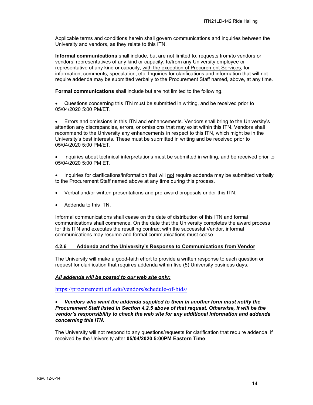Applicable terms and conditions herein shall govern communications and inquiries between the University and vendors, as they relate to this ITN.

**Informal communications** shall include, but are not limited to, requests from/to vendors or vendors' representatives of any kind or capacity, to/from any University employee or representative of any kind or capacity, with the exception of Procurement Services, for information, comments, speculation, etc. Inquiries for clarifications and information that will not require addenda may be submitted verbally to the Procurement Staff named, above, at any time.

**Formal communications** shall include but are not limited to the following.

• Questions concerning this ITN must be submitted in writing, and be received prior to 05/04/2020 5:00 PM/ET.

• Errors and omissions in this ITN and enhancements. Vendors shall bring to the University's attention any discrepancies, errors, or omissions that may exist within this ITN. Vendors shall recommend to the University any enhancements in respect to this ITN, which might be in the University's best interests. These must be submitted in writing and be received prior to 05/04/2020 5:00 PM/ET.

• Inquiries about technical interpretations must be submitted in writing, and be received prior to 05/04/2020 5:00 PM FT

• Inquiries for clarifications/information that will not require addenda may be submitted verbally to the Procurement Staff named above at any time during this process.

- Verbal and/or written presentations and pre-award proposals under this ITN.
- Addenda to this ITN.

Informal communications shall cease on the date of distribution of this ITN and formal communications shall commence. On the date that the University completes the award process for this ITN and executes the resulting contract with the successful Vendor, informal communications may resume and formal communications must cease.

#### <span id="page-13-0"></span>**4.2.6 Addenda and the University's Response to Communications from Vendor**

The University will make a good-faith effort to provide a written response to each question or request for clarification that requires addenda within five (5) University business days.

#### *All addenda will be posted to our web site only:*

<https://procurement.ufl.edu/vendors/schedule-of-bids/>

#### • *Vendors who want the addenda supplied to them in another form must notify the Procurement Staff listed in Section 4.2.5 above of that request. Otherwise, it will be the vendor's responsibility to check the web site for any additional information and addenda concerning this ITN.*

The University will not respond to any questions/requests for clarification that require addenda, if received by the University after **05/04/2020 5:00PM Eastern Time**.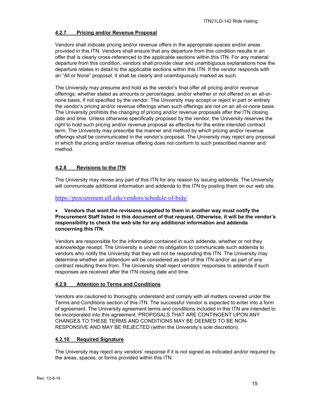# <span id="page-14-0"></span>**4.2.7 Pricing and/or Revenue Proposal**

Vendors shall indicate pricing and/or revenue offers in the appropriate spaces and/or areas provided in this ITN. Vendors shall ensure that any departure from this condition results in an offer that is clearly cross-referenced to the applicable sections within this ITN. For any material departure from this condition, vendors shall provide clear and unambiguous explanations how the departure relates in detail to the applicable sections within this ITN. If the vendor responds with an "All or None" proposal, it shall be clearly and unambiguously marked as such.

The University may presume and hold as the vendor's final offer all pricing and/or revenue offerings, whether stated as amounts or percentages, and/or whether or not offered on an all-ornone basis, if not specified by the vendor. The University may accept or reject in part or entirely the vendor's pricing and/or revenue offerings when such offerings are not on an all-or-none basis. The University prohibits the changing of pricing and/or revenue proposals after the ITN closing date and time. Unless otherwise specifically proposed by the vendor, the University reserves the right to hold such pricing and/or revenue proposal as effective for the entire intended contract term. The University may prescribe the manner and method by which pricing and/or revenue offerings shall be communicated in the vendor's proposal. The University may reject any proposal in which the pricing and/or revenue offering does not conform to such prescribed manner and method.

# <span id="page-14-1"></span>**4.2.8 Revisions to the ITN**

The University may revise any part of this ITN for any reason by issuing addenda. The University will communicate additional information and addenda to this ITN by posting them on our web site.

<https://procurement.ufl.edu/vendors/schedule-of-bids/>

#### • **Vendors that want the revisions supplied to them in another way must notify the Procurement Staff listed in this document of that request. Otherwise, it will be the vendor's responsibility to check the web site for any additional information and addenda concerning this ITN.**

Vendors are responsible for the information contained in such addenda, whether or not they acknowledge receipt. The University is under no obligation to communicate such addenda to vendors who notify the University that they will not be responding this ITN. The University may determine whether an addendum will be considered as part of this ITN and/or as part of any contract resulting there from. The University shall reject vendors' responses to addenda if such responses are received after the ITN closing date and time.

# <span id="page-14-2"></span>**4.2.9 Attention to Terms and Conditions**

Vendors are cautioned to thoroughly understand and comply with all matters covered under the Terms and Conditions section of this ITN. The successful Vendor is expected to enter into a form of agreement. The University agreement terms and conditions included in this ITN are intended to be incorporated into this agreement. PROPOSALS THAT ARE CONTINGENT UPON ANY CHANGES TO THESE TERMS AND CONDITIONS MAY BE DEEMED TO BE NON-RESPONSIVE AND MAY BE REJECTED (within the University's sole discretion).

# <span id="page-14-3"></span>**4.2.10 Required Signature**

The University may reject any vendors' response if it is not signed as indicated and/or required by the areas, spaces, or forms provided within this ITN.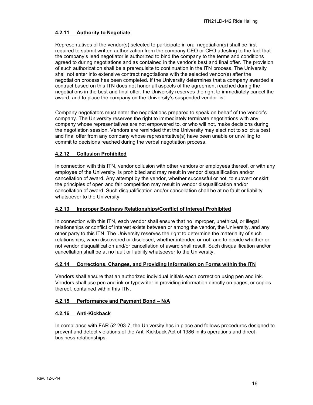# <span id="page-15-0"></span>**4.2.11 Authority to Negotiate**

Representatives of the vendor(s) selected to participate in oral negotiation(s) shall be first required to submit written authorization from the company CEO or CFO attesting to the fact that the company's lead negotiator is authorized to bind the company to the terms and conditions agreed to during negotiations and as contained in the vendor's best and final offer. The provision of such authorization shall be a prerequisite to continuation in the ITN process. The University shall not enter into extensive contract negotiations with the selected vendor(s) after the negotiation process has been completed. If the University determines that a company awarded a contract based on this ITN does not honor all aspects of the agreement reached during the negotiations in the best and final offer, the University reserves the right to immediately cancel the award, and to place the company on the University's suspended vendor list.

Company negotiators must enter the negotiations prepared to speak on behalf of the vendor's company. The University reserves the right to immediately terminate negotiations with any company whose representatives are not empowered to, or who will not, make decisions during the negotiation session. Vendors are reminded that the University may elect not to solicit a best and final offer from any company whose representative(s) have been unable or unwilling to commit to decisions reached during the verbal negotiation process.

#### <span id="page-15-1"></span>**4.2.12 Collusion Prohibited**

In connection with this ITN, vendor collusion with other vendors or employees thereof, or with any employee of the University, is prohibited and may result in vendor disqualification and/or cancellation of award. Any attempt by the vendor, whether successful or not, to subvert or skirt the principles of open and fair competition may result in vendor disqualification and/or cancellation of award. Such disqualification and/or cancellation shall be at no fault or liability whatsoever to the University.

# <span id="page-15-2"></span>**4.2.13 Improper Business Relationships/Conflict of Interest Prohibited**

In connection with this ITN, each vendor shall ensure that no improper, unethical, or illegal relationships or conflict of interest exists between or among the vendor, the University, and any other party to this ITN. The University reserves the right to determine the materiality of such relationships, when discovered or disclosed, whether intended or not; and to decide whether or not vendor disqualification and/or cancellation of award shall result. Such disqualification and/or cancellation shall be at no fault or liability whatsoever to the University.

# <span id="page-15-3"></span>**4.2.14 Corrections, Changes, and Providing Information on Forms within the ITN**

Vendors shall ensure that an authorized individual initials each correction using pen and ink. Vendors shall use pen and ink or typewriter in providing information directly on pages, or copies thereof, contained within this ITN.

# <span id="page-15-4"></span>**4.2.15 Performance and Payment Bond – N/A**

#### <span id="page-15-5"></span>**4.2.16 Anti-Kickback**

In compliance with FAR 52.203-7, the University has in place and follows procedures designed to prevent and detect violations of the Anti-Kickback Act of 1986 in its operations and direct business relationships.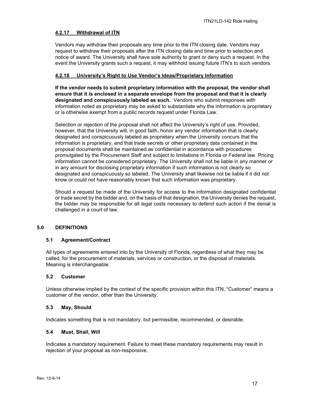# <span id="page-16-0"></span>**4.2.17 Withdrawal of ITN**

Vendors may withdraw their proposals any time prior to the ITN closing date. Vendors may request to withdraw their proposals after the ITN closing date and time prior to selection and notice of award. The University shall have sole authority to grant or deny such a request. In the event the University grants such a request, it may withhold issuing future ITN's to such vendors.

#### <span id="page-16-1"></span>**4.2.18 University's Right to Use Vendor's Ideas/Proprietary Information**

**If the vendor needs to submit proprietary information with the proposal, the vendor shall ensure that it is enclosed in a separate envelope from the proposal and that it is clearly designated and conspicuously labeled as such.** Vendors who submit responses with information noted as proprietary may be asked to substantiate why the information is proprietary or is otherwise exempt from a public records request under Florida Law.

Selection or rejection of the proposal shall not affect the University's right of use. Provided, however, that the University will, in good faith, honor any vendor information that is clearly designated and conspicuously labeled as proprietary when the University concurs that the information is proprietary, and that trade secrets or other proprietary data contained in the proposal documents shall be maintained as confidential in accordance with procedures promulgated by the Procurement Staff and subject to limitations in Florida or Federal law. Pricing information cannot be considered proprietary. The University shall not be liable in any manner or in any amount for disclosing proprietary information if such information is not clearly so designated and conspicuously so labeled. The University shall likewise not be liable if it did not know or could not have reasonably known that such information was proprietary.

Should a request be made of the University for access to the information designated confidential or trade secret by the bidder and, on the basis of that designation, the University denies the request, the bidder may be responsible for all legal costs necessary to defend such action if the denial is challenged in a court of law.

# <span id="page-16-2"></span>**5.0 DEFINITIONS**

#### <span id="page-16-3"></span>**5.1 Agreement/Contract**

All types of agreements entered into by the University of Florida, regardless of what they may be called, for the procurement of materials, services or construction, or the disposal of materials. Meaning is interchangeable.

#### <span id="page-16-4"></span>**5.2 Customer**

Unless otherwise implied by the context of the specific provision within this ITN, "Customer" means a customer of the vendor, other than the University.

#### <span id="page-16-5"></span>**5.3 May, Should**

Indicates something that is not mandatory, but permissible, recommended, or desirable.

#### <span id="page-16-6"></span>**5.4 Must, Shall, Will**

Indicates a mandatory requirement. Failure to meet these mandatory requirements may result in rejection of your proposal as non-responsive.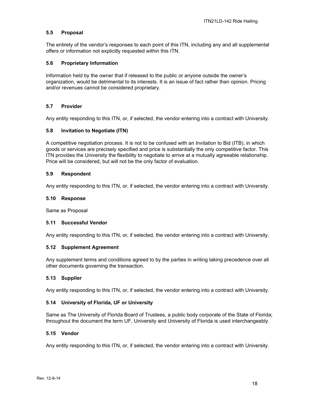#### <span id="page-17-0"></span>**5.5 Proposal**

The entirety of the vendor's responses to each point of this ITN, including any and all supplemental offers or information not explicitly requested within this ITN.

#### <span id="page-17-1"></span>**5.6 Proprietary Information**

Information held by the owner that if released to the public or anyone outside the owner's organization, would be detrimental to its interests. It is an issue of fact rather than opinion. Pricing and/or revenues cannot be considered proprietary.

#### <span id="page-17-2"></span>**5.7 Provider**

Any entity responding to this ITN, or, if selected, the vendor entering into a contract with University.

#### <span id="page-17-3"></span>**5.8 Invitation to Negotiate (ITN)**

A competitive negotiation process. It is not to be confused with an Invitation to Bid (ITB), in which goods or services are precisely specified and price is substantially the only competitive factor. This ITN provides the University the flexibility to negotiate to arrive at a mutually agreeable relationship. Price will be considered, but will not be the only factor of evaluation.

#### <span id="page-17-4"></span>**5.9 Respondent**

Any entity responding to this ITN, or, if selected, the vendor entering into a contract with University.

#### <span id="page-17-5"></span>**5.10 Response**

Same as Proposal

#### <span id="page-17-6"></span>**5.11 Successful Vendor**

Any entity responding to this ITN, or, if selected, the vendor entering into a contract with University.

#### <span id="page-17-7"></span>**5.12 Supplement Agreement**

Any supplement terms and conditions agreed to by the parties in writing taking precedence over all other documents governing the transaction.

#### <span id="page-17-8"></span>**5.13 Supplier**

Any entity responding to this ITN, or, if selected, the vendor entering into a contract with University.

#### <span id="page-17-9"></span>**5.14 University of Florida, UF or University**

Same as The University of Florida Board of Trustees, a public body corporate of the State of Florida; throughout the document the term UF, University and University of Florida is used interchangeably.

#### <span id="page-17-10"></span>**5.15 Vendor**

Any entity responding to this ITN, or, if selected, the vendor entering into a contract with University.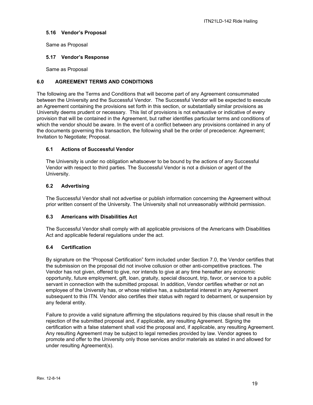# <span id="page-18-0"></span>**5.16 Vendor's Proposal**

Same as Proposal

#### <span id="page-18-1"></span>**5.17 Vendor's Response**

Same as Proposal

## <span id="page-18-2"></span>**6.0 AGREEMENT TERMS AND CONDITIONS**

The following are the Terms and Conditions that will become part of any Agreement consummated between the University and the Successful Vendor. The Successful Vendor will be expected to execute an Agreement containing the provisions set forth in this section, or substantially similar provisions as University deems prudent or necessary. This list of provisions is not exhaustive or indicative of every provision that will be contained in the Agreement, but rather identifies particular terms and conditions of which the vendor should be aware. In the event of a conflict between any provisions contained in any of the documents governing this transaction, the following shall be the order of precedence: Agreement; Invitation to Negotiate; Proposal.

#### <span id="page-18-3"></span>**6.1 Actions of Successful Vendor**

The University is under no obligation whatsoever to be bound by the actions of any Successful Vendor with respect to third parties. The Successful Vendor is not a division or agent of the University.

#### <span id="page-18-4"></span>**6.2 Advertising**

The Successful Vendor shall not advertise or publish information concerning the Agreement without prior written consent of the University. The University shall not unreasonably withhold permission.

#### <span id="page-18-5"></span>**6.3 Americans with Disabilities Act**

The Successful Vendor shall comply with all applicable provisions of the Americans with Disabilities Act and applicable federal regulations under the act.

#### <span id="page-18-6"></span>**6.4 Certification**

By signature on the "Proposal Certification" form included under Section 7.0, the Vendor certifies that the submission on the proposal did not involve collusion or other anti-competitive practices. The Vendor has not given, offered to give, nor intends to give at any time hereafter any economic opportunity, future employment, gift, loan, gratuity, special discount, trip, favor, or service to a public servant in connection with the submitted proposal. In addition, Vendor certifies whether or not an employee of the University has, or whose relative has, a substantial interest in any Agreement subsequent to this ITN. Vendor also certifies their status with regard to debarment, or suspension by any federal entity.

Failure to provide a valid signature affirming the stipulations required by this clause shall result in the rejection of the submitted proposal and, if applicable, any resulting Agreement. Signing the certification with a false statement shall void the proposal and, if applicable, any resulting Agreement. Any resulting Agreement may be subject to legal remedies provided by law. Vendor agrees to promote and offer to the University only those services and/or materials as stated in and allowed for under resulting Agreement(s).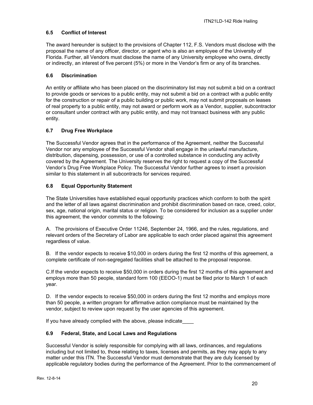# <span id="page-19-0"></span>**6.5 Conflict of Interest**

The award hereunder is subject to the provisions of Chapter 112, F.S. Vendors must disclose with the proposal the name of any officer, director, or agent who is also an employee of the University of Florida. Further, all Vendors must disclose the name of any University employee who owns, directly or indirectly, an interest of five percent (5%) or more in the Vendor's firm or any of its branches.

# <span id="page-19-1"></span>**6.6 Discrimination**

An entity or affiliate who has been placed on the discriminatory list may not submit a bid on a contract to provide goods or services to a public entity, may not submit a bid on a contract with a public entity for the construction or repair of a public building or public work, may not submit proposals on leases of real property to a public entity, may not award or perform work as a Vendor, supplier, subcontractor or consultant under contract with any public entity, and may not transact business with any public entity.

# <span id="page-19-2"></span>**6.7 Drug Free Workplace**

The Successful Vendor agrees that in the performance of the Agreement, neither the Successful Vendor nor any employee of the Successful Vendor shall engage in the unlawful manufacture, distribution, dispensing, possession, or use of a controlled substance in conducting any activity covered by the Agreement. The University reserves the right to request a copy of the Successful Vendor's Drug Free Workplace Policy. The Successful Vendor further agrees to insert a provision similar to this statement in all subcontracts for services required.

# <span id="page-19-3"></span>**6.8 Equal Opportunity Statement**

The State Universities have established equal opportunity practices which conform to both the spirit and the letter of all laws against discrimination and prohibit discrimination based on race, creed, color, sex, age, national origin, marital status or religion. To be considered for inclusion as a supplier under this agreement, the vendor commits to the following:

A. The provisions of Executive Order 11246, September 24, 1966, and the rules, regulations, and relevant orders of the Secretary of Labor are applicable to each order placed against this agreement regardless of value.

B. If the vendor expects to receive \$10,000 in orders during the first 12 months of this agreement, a complete certificate of non-segregated facilities shall be attached to the proposal response.

C.If the vendor expects to receive \$50,000 in orders during the first 12 months of this agreement and employs more than 50 people, standard form 100 (EEOO-1) must be filed prior to March 1 of each year.

D. If the vendor expects to receive \$50,000 in orders during the first 12 months and employs more than 50 people, a written program for affirmative action compliance must be maintained by the vendor, subject to review upon request by the user agencies of this agreement.

If you have already complied with the above, please indicate

# <span id="page-19-4"></span>**6.9 Federal, State, and Local Laws and Regulations**

Successful Vendor is solely responsible for complying with all laws, ordinances, and regulations including but not limited to, those relating to taxes, licenses and permits, as they may apply to any matter under this ITN. The Successful Vendor must demonstrate that they are duly licensed by applicable regulatory bodies during the performance of the Agreement. Prior to the commencement of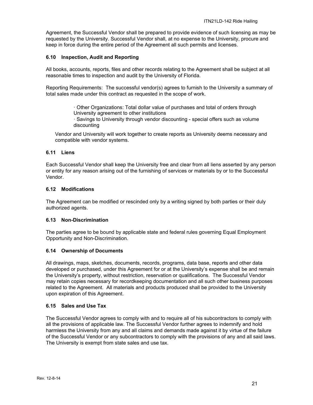Agreement, the Successful Vendor shall be prepared to provide evidence of such licensing as may be requested by the University. Successful Vendor shall, at no expense to the University, procure and keep in force during the entire period of the Agreement all such permits and licenses.

#### <span id="page-20-0"></span>**6.10 Inspection, Audit and Reporting**

All books, accounts, reports, files and other records relating to the Agreement shall be subject at all reasonable times to inspection and audit by the University of Florida.

Reporting Requirements: The successful vendor(s) agrees to furnish to the University a summary of total sales made under this contract as requested in the scope of work.

> · Other Organizations: Total dollar value of purchases and total of orders through University agreement to other institutions

· Savings to University through vendor discounting - special offers such as volume discounting

Vendor and University will work together to create reports as University deems necessary and compatible with vendor systems.

#### <span id="page-20-1"></span>**6.11 Liens**

Each Successful Vendor shall keep the University free and clear from all liens asserted by any person or entity for any reason arising out of the furnishing of services or materials by or to the Successful Vendor.

#### <span id="page-20-2"></span>**6.12 Modifications**

The Agreement can be modified or rescinded only by a writing signed by both parties or their duly authorized agents.

#### <span id="page-20-3"></span>**6.13 Non-Discrimination**

The parties agree to be bound by applicable state and federal rules governing Equal Employment Opportunity and Non-Discrimination.

#### <span id="page-20-4"></span>**6.14 Ownership of Documents**

All drawings, maps, sketches, documents, records, programs, data base, reports and other data developed or purchased, under this Agreement for or at the University's expense shall be and remain the University's property, without restriction, reservation or qualifications. The Successful Vendor may retain copies necessary for recordkeeping documentation and all such other business purposes related to the Agreement. All materials and products produced shall be provided to the University upon expiration of this Agreement.

#### <span id="page-20-5"></span>**6.15 Sales and Use Tax**

The Successful Vendor agrees to comply with and to require all of his subcontractors to comply with all the provisions of applicable law. The Successful Vendor further agrees to indemnify and hold harmless the University from any and all claims and demands made against it by virtue of the failure of the Successful Vendor or any subcontractors to comply with the provisions of any and all said laws. The University is exempt from state sales and use tax.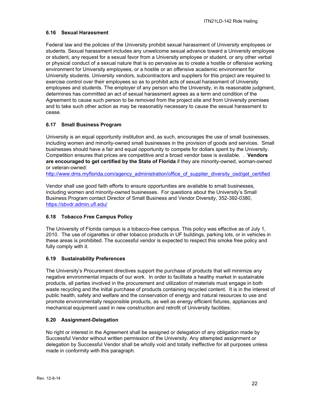## <span id="page-21-0"></span>**6.16 Sexual Harassment**

Federal law and the policies of the University prohibit sexual harassment of University employees or students. Sexual harassment includes any unwelcome sexual advance toward a University employee or student, any request for a sexual favor from a University employee or student, or any other verbal or physical conduct of a sexual nature that is so pervasive as to create a hostile or offensive working environment for University employees, or a hostile or an offensive academic environment for University students. University vendors, subcontractors and suppliers for this project are required to exercise control over their employees so as to prohibit acts of sexual harassment of University employees and students. The employer of any person who the University, in its reasonable judgment, determines has committed an act of sexual harassment agrees as a term and condition of the Agreement to cause such person to be removed from the project site and from University premises and to take such other action as may be reasonably necessary to cause the sexual harassment to cease.

# <span id="page-21-1"></span>**6.17 Small Business Program**

University is an equal opportunity institution and, as such, encourages the use of small businesses, including women and minority-owned small businesses in the provision of goods and services. Small businesses should have a fair and equal opportunity to compete for dollars spent by the University. Competition ensures that prices are competitive and a broad vendor base is available. . **Vendors are encouraged to get certified by the State of Florida** if they are minority-owned, woman-owned or veteran-owned:

[http://www.dms.myflorida.com/agency\\_administration/office\\_of\\_supplier\\_diversity\\_osd/get\\_certified](http://www.dms.myflorida.com/agency_administration/office_of_supplier_diversity_osd/get_certified)

Vendor shall use good faith efforts to ensure opportunities are available to small businesses, including women and minority-owned businesses. For questions about the University's Small Business Program contact Director of Small Business and Vendor Diversity, 352-392-0380, <https://sbvdr.admin.ufl.edu/>

#### <span id="page-21-2"></span>**6.18 Tobacco Free Campus Policy**

The University of Florida campus is a tobacco-free campus. This policy was effective as of July 1, 2010. The use of cigarettes or other tobacco products in UF buildings, parking lots, or in vehicles in these areas is prohibited. The successful vendor is expected to respect this smoke free policy and fully comply with it.

# <span id="page-21-3"></span>**6.19 Sustainability Preferences**

The University's Procurement directives support the purchase of products that will minimize any negative environmental impacts of our work. In order to facilitate a healthy market in sustainable products, all parties involved in the procurement and utilization of materials must engage in both waste recycling and the initial purchase of products containing recycled content. It is in the interest of public health, safety and welfare and the conservation of energy and natural resources to use and promote environmentally responsible products, as well as energy efficient fixtures, appliances and mechanical equipment used in new construction and retrofit of University facilities.

#### <span id="page-21-4"></span>**6.20 Assignment-Delegation**

No right or interest in the Agreement shall be assigned or delegation of any obligation made by Successful Vendor without written permission of the University. Any attempted assignment or delegation by Successful Vendor shall be wholly void and totally ineffective for all purposes unless made in conformity with this paragraph.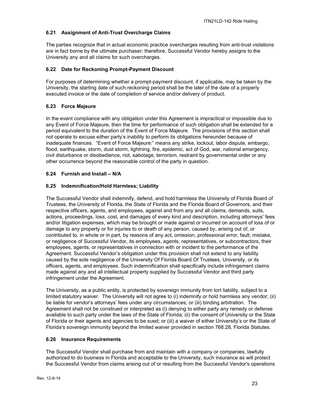# <span id="page-22-0"></span>**6.21 Assignment of Anti-Trust Overcharge Claims**

The parties recognize that in actual economic practice overcharges resulting from anti-trust violations are in fact borne by the ultimate purchaser; therefore, Successful Vendor hereby assigns to the University any and all claims for such overcharges.

# <span id="page-22-1"></span>**6.22 Date for Reckoning Prompt-Payment Discount**

For purposes of determining whether a prompt-payment discount, if applicable, may be taken by the University, the starting date of such reckoning period shall be the later of the date of a properly executed invoice or the date of completion of service and/or delivery of product.

# <span id="page-22-2"></span>**6.23 Force Majeure**

In the event compliance with any obligation under this Agreement is impractical or impossible due to any Event of Force Majeure, then the time for performance of such obligation shall be extended for a period equivalent to the duration of the Event of Force Majeure. The provisions of this section shall not operate to excuse either party's inability to perform its obligations hereunder because of inadequate finances. "Event of Force Majeure:" means any strike, lockout, labor dispute, embargo, flood, earthquake, storm, dust storm, lightning, fire, epidemic, act of God, war, national emergency, civil disturbance or disobedience, riot, sabotage, terrorism, restraint by governmental order or any other occurrence beyond the reasonable control of the party in question.

# <span id="page-22-3"></span>**6.24 Furnish and Install – N/A**

# <span id="page-22-4"></span>**6.25 Indemnification/Hold Harmless; Liability**

The Successful Vendor shall indemnify, defend, and hold harmless the University of Florida Board of Trustees, the University of Florida, the State of Florida and the Florida Board of Governors, and their respective officers, agents, and employees, against and from any and all claims, demands, suits, actions, proceedings, loss, cost, and damages of every kind and description, including attorneys' fees and/or litigation expenses, which may be brought or made against or incurred on account of loss of or damage to any property or for injuries to or death of any person, caused by, arising out of, or contributed to, in whole or in part, by reasons of any act, omission, professional error, fault, mistake, or negligence of Successful Vendor, its employees, agents, representatives, or subcontractors, their employees, agents, or representatives in connection with or incident to the performance of the Agreement. Successful Vendor's obligation under this provision shall not extend to any liability caused by the sole negligence of the University Of Florida Board Of Trustees, University, or its officers, agents, and employees. Such indemnification shall specifically include infringement claims made against any and all intellectual property supplied by Successful Vendor and third party infringement under the Agreement.

The University, as a public entity, is protected by sovereign immunity from tort liability, subject to a limited statutory waiver. The University will not agree to (i) indemnify or hold harmless any vendor; (ii) be liable for vendor's attorneys' fees under any circumstances; or (iii) binding arbitration. The Agreement shall not be construed or interpreted as (i) denying to either party any remedy or defense available to such party under the laws of the State of Florida; (ii) the consent of University or the State of Florida or their agents and agencies to be sued; or (iii) a waiver of either University's or the State of Florida's sovereign immunity beyond the limited waiver provided in section 768.28, Florida Statutes.

# <span id="page-22-5"></span>**6.26 Insurance Requirements**

The Successful Vendor shall purchase from and maintain with a company or companies, lawfully authorized to do business in Florida and acceptable to the University, such insurance as will protect the Successful Vendor from claims arising out of or resulting from the Successful Vendor's operations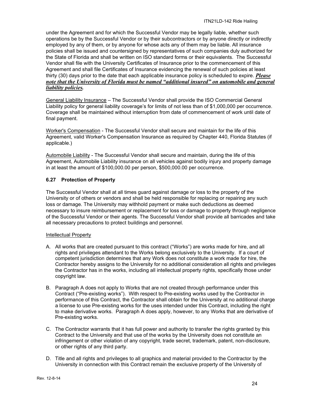under the Agreement and for which the Successful Vendor may be legally liable, whether such operations be by the Successful Vendor or by their subcontractors or by anyone directly or indirectly employed by any of them, or by anyone for whose acts any of them may be liable. All insurance policies shall be issued and countersigned by representatives of such companies duly authorized for the State of Florida and shall be written on ISO standard forms or their equivalents. The Successful Vendor shall file with the University Certificates of Insurance prior to the commencement of this Agreement and shall file Certificates of Insurance evidencing the renewal of such policies at least thirty (30) days prior to the date that each applicable insurance policy is scheduled to expire. *Please note that the University of Florida must be named "additional insured" on automobile and general liability policies.*

General Liability Insurance – The Successful Vendor shall provide the ISO Commercial General Liability policy for general liability coverage's for limits of not less than of \$1,000,000 per occurrence. Coverage shall be maintained without interruption from date of commencement of work until date of final payment.

Worker's Compensation - The Successful Vendor shall secure and maintain for the life of this Agreement, valid Worker's Compensation Insurance as required by Chapter 440, Florida Statutes (if applicable.)

Automobile Liability - The Successful Vendor shall secure and maintain, during the life of this Agreement, Automobile Liability insurance on all vehicles against bodily injury and property damage in at least the amount of \$100,000.00 per person, \$500,000.00 per occurrence.

#### <span id="page-23-0"></span>**6.27 Protection of Property**

The Successful Vendor shall at all times guard against damage or loss to the property of the University or of others or vendors and shall be held responsible for replacing or repairing any such loss or damage. The University may withhold payment or make such deductions as deemed necessary to insure reimbursement or replacement for loss or damage to property through negligence of the Successful Vendor or their agents. The Successful Vendor shall provide all barricades and take all necessary precautions to protect buildings and personnel.

#### Intellectual Property

- A. All works that are created pursuant to this contract ("Works") are works made for hire, and all rights and privileges attendant to the Works belong exclusively to the University. If a court of competent jurisdiction determines that any Work does not constitute a work made for hire, the Contractor hereby assigns to the University for no additional consideration all rights and privileges the Contractor has in the works, including all intellectual property rights, specifically those under copyright law.
- B. Paragraph A does not apply to Works that are not created through performance under this Contract ("Pre-existing works"). With respect to Pre-existing works used by the Contractor in performance of this Contract, the Contractor shall obtain for the University at no additional charge a license to use Pre-existing works for the uses intended under this Contract, including the right to make derivative works. Paragraph A does apply, however, to any Works that are derivative of Pre-existing works.
- C. The Contractor warrants that it has full power and authority to transfer the rights granted by this Contract to the University and that use of the works by the University does not constitute an infringement or other violation of any copyright, trade secret, trademark, patent, non-disclosure, or other rights of any third party.
- D. Title and all rights and privileges to all graphics and material provided to the Contractor by the University in connection with this Contract remain the exclusive property of the University of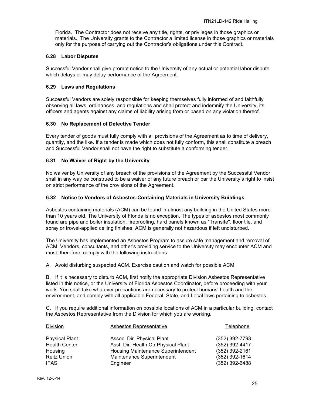Florida. The Contractor does not receive any title, rights, or privileges in those graphics or materials. The University grants to the Contractor a limited license in those graphics or materials only for the purpose of carrying out the Contractor's obligations under this Contract.

#### <span id="page-24-0"></span>**6.28 Labor Disputes**

Successful Vendor shall give prompt notice to the University of any actual or potential labor dispute which delays or may delay performance of the Agreement.

#### <span id="page-24-1"></span>**6.29 Laws and Regulations**

Successful Vendors are solely responsible for keeping themselves fully informed of and faithfully observing all laws, ordinances, and regulations and shall protect and indemnify the University, its officers and agents against any claims of liability arising from or based on any violation thereof.

#### <span id="page-24-2"></span>**6.30 No Replacement of Defective Tender**

Every tender of goods must fully comply with all provisions of the Agreement as to time of delivery, quantity, and the like. If a tender is made which does not fully conform, this shall constitute a breach and Successful Vendor shall not have the right to substitute a conforming tender.

#### <span id="page-24-3"></span>**6.31 No Waiver of Right by the University**

No waiver by University of any breach of the provisions of the Agreement by the Successful Vendor shall in any way be construed to be a waiver of any future breach or bar the University's right to insist on strict performance of the provisions of the Agreement.

#### <span id="page-24-4"></span>**6.32 Notice to Vendors of Asbestos-Containing Materials in University Buildings**

Asbestos containing materials (ACM) can be found in almost any building in the United States more than 10 years old. The University of Florida is no exception. The types of asbestos most commonly found are pipe and boiler insulation, fireproofing, hard panels known as "Transite", floor tile, and spray or trowel-applied ceiling finishes. ACM is generally not hazardous if left undisturbed.

The University has implemented an Asbestos Program to assure safe management and removal of ACM. Vendors, consultants, and other's providing service to the University may encounter ACM and must, therefore, comply with the following instructions:

A. Avoid disturbing suspected ACM. Exercise caution and watch for possible ACM.

B. If it is necessary to disturb ACM, first notify the appropriate Division Asbestos Representative listed in this notice, or the University of Florida Asbestos Coordinator, before proceeding with your work. You shall take whatever precautions are necessary to protect humans' health and the environment, and comply with all applicable Federal, State, and Local laws pertaining to asbestos.

C. If you require additional information on possible locations of ACM in a particular building, contact the Asbestos Representative from the Division for which you are working.

| Division              | Asbestos Representative              | Telephone        |
|-----------------------|--------------------------------------|------------------|
| <b>Physical Plant</b> | Assoc. Dir. Physical Plant           | (352) 392-7793   |
| <b>Health Center</b>  | Asst. Dir. Health Ctr Physical Plant | (352) 392-4417   |
| Housing               | Housing Maintenance Superintendent   | (352) 392-2161   |
| <b>Reitz Union</b>    | Maintenance Superintendent           | (352) 392-1614   |
| <b>IFAS</b>           | Engineer                             | $(352)$ 392-6488 |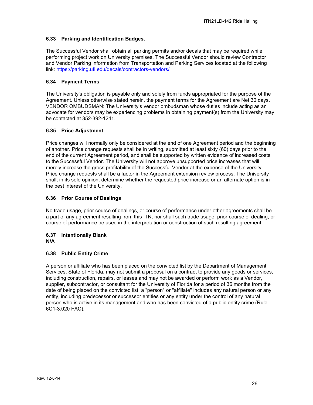# <span id="page-25-0"></span>**6.33 Parking and Identification Badges.**

The Successful Vendor shall obtain all parking permits and/or decals that may be required while performing project work on University premises. The Successful Vendor should review Contractor and Vendor Parking information from Transportation and Parking Services located at the following link:<https://parking.ufl.edu/decals/contractors-vendors/>

# <span id="page-25-1"></span>**6.34 Payment Terms**

The University's obligation is payable only and solely from funds appropriated for the purpose of the Agreement. Unless otherwise stated herein, the payment terms for the Agreement are Net 30 days. VENDOR OMBUDSMAN: The University's vendor ombudsman whose duties include acting as an advocate for vendors may be experiencing problems in obtaining payment(s) from the University may be contacted at 352-392-1241.

# <span id="page-25-2"></span>**6.35 Price Adjustment**

Price changes will normally only be considered at the end of one Agreement period and the beginning of another. Price change requests shall be in writing, submitted at least sixty (60) days prior to the end of the current Agreement period, and shall be supported by written evidence of increased costs to the Successful Vendor. The University will not approve unsupported price increases that will merely increase the gross profitability of the Successful Vendor at the expense of the University. Price change requests shall be a factor in the Agreement extension review process. The University shall, in its sole opinion, determine whether the requested price increase or an alternate option is in the best interest of the University.

# <span id="page-25-3"></span>**6.36 Prior Course of Dealings**

No trade usage, prior course of dealings, or course of performance under other agreements shall be a part of any agreement resulting from this ITN; nor shall such trade usage, prior course of dealing, or course of performance be used in the interpretation or construction of such resulting agreement.

#### <span id="page-25-4"></span>**6.37 Intentionally Blank N/A**

# <span id="page-25-5"></span>**6.38 Public Entity Crime**

A person or affiliate who has been placed on the convicted list by the Department of Management Services, State of Florida, may not submit a proposal on a contract to provide any goods or services, including construction, repairs, or leases and may not be awarded or perform work as a Vendor, supplier, subcontractor, or consultant for the University of Florida for a period of 36 months from the date of being placed on the convicted list, a "person" or "affiliate" includes any natural person or any entity, including predecessor or successor entities or any entity under the control of any natural person who is active in its management and who has been convicted of a public entity crime (Rule 6C1-3.020 FAC).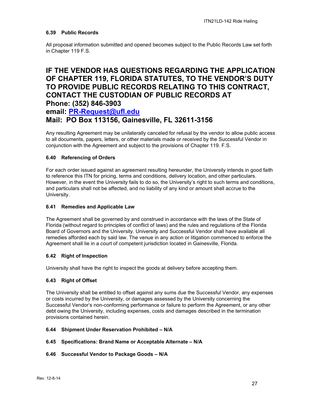# <span id="page-26-0"></span>**6.39 Public Records**

All proposal information submitted and opened becomes subject to the Public Records Law set forth in Chapter 119 F.S.

# **IF THE VENDOR HAS QUESTIONS REGARDING THE APPLICATION OF CHAPTER 119, FLORIDA STATUTES, TO THE VENDOR'S DUTY TO PROVIDE PUBLIC RECORDS RELATING TO THIS CONTRACT, CONTACT THE CUSTODIAN OF PUBLIC RECORDS AT Phone: (352) 846-3903**

# **email: [PR-Request@ufl.edu](mailto:PR-Request@ufl.edu) Mail: PO Box 113156, Gainesville, FL 32611-3156**

Any resulting Agreement may be unilaterally canceled for refusal by the vendor to allow public access to all documents, papers, letters, or other materials made or received by the Successful Vendor in conjunction with the Agreement and subject to the provisions of Chapter 119. F.S.

# <span id="page-26-1"></span>**6.40 Referencing of Orders**

For each order issued against an agreement resulting hereunder, the University intends in good faith to reference this ITN for pricing, terms and conditions, delivery location, and other particulars. However, in the event the University fails to do so, the University's right to such terms and conditions, and particulars shall not be affected, and no liability of any kind or amount shall accrue to the University.

#### <span id="page-26-2"></span>**6.41 Remedies and Applicable Law**

The Agreement shall be governed by and construed in accordance with the laws of the State of Florida (without regard to principles of conflict of laws) and the rules and regulations of the Florida Board of Governors and the University. University and Successful Vendor shall have available all remedies afforded each by said law. The venue in any action or litigation commenced to enforce the Agreement shall lie in a court of competent jurisdiction located in Gainesville, Florida.

# <span id="page-26-3"></span>**6.42 Right of Inspection**

University shall have the right to inspect the goods at delivery before accepting them.

#### <span id="page-26-4"></span>**6.43 Right of Offset**

The University shall be entitled to offset against any sums due the Successful Vendor, any expenses or costs incurred by the University, or damages assessed by the University concerning the Successful Vendor's non-conforming performance or failure to perform the Agreement, or any other debt owing the University, including expenses, costs and damages described in the termination provisions contained herein.

#### <span id="page-26-5"></span>**6.44 Shipment Under Reservation Prohibited – N/A**

#### <span id="page-26-6"></span>**6.45 Specifications: Brand Name or Acceptable Alternate – N/A**

#### <span id="page-26-7"></span>**6.46 Successful Vendor to Package Goods – N/A**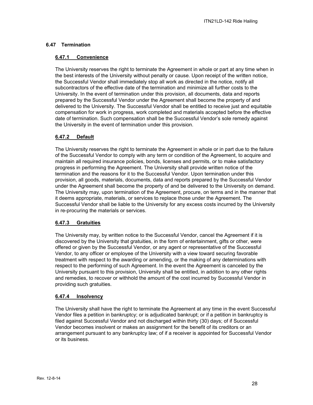# <span id="page-27-1"></span><span id="page-27-0"></span>**6.47 Termination**

## **6.47.1 Convenience**

The University reserves the right to terminate the Agreement in whole or part at any time when in the best interests of the University without penalty or cause. Upon receipt of the written notice, the Successful Vendor shall immediately stop all work as directed in the notice, notify all subcontractors of the effective date of the termination and minimize all further costs to the University. In the event of termination under this provision, all documents, data and reports prepared by the Successful Vendor under the Agreement shall become the property of and delivered to the University. The Successful Vendor shall be entitled to receive just and equitable compensation for work in progress, work completed and materials accepted before the effective date of termination. Such compensation shall be the Successful Vendor's sole remedy against the University in the event of termination under this provision.

# <span id="page-27-2"></span>**6.47.2 Default**

The University reserves the right to terminate the Agreement in whole or in part due to the failure of the Successful Vendor to comply with any term or condition of the Agreement, to acquire and maintain all required insurance policies, bonds, licenses and permits, or to make satisfactory progress in performing the Agreement. The University shall provide written notice of the termination and the reasons for it to the Successful Vendor. Upon termination under this provision, all goods, materials, documents, data and reports prepared by the Successful Vendor under the Agreement shall become the property of and be delivered to the University on demand. The University may, upon termination of the Agreement, procure, on terms and in the manner that it deems appropriate, materials, or services to replace those under the Agreement. The Successful Vendor shall be liable to the University for any excess costs incurred by the University in re-procuring the materials or services.

# <span id="page-27-3"></span>**6.47.3 Gratuities**

The University may, by written notice to the Successful Vendor, cancel the Agreement if it is discovered by the University that gratuities, in the form of entertainment, gifts or other, were offered or given by the Successful Vendor, or any agent or representative of the Successful Vendor, to any officer or employee of the University with a view toward securing favorable treatment with respect to the awarding or amending, or the making of any determinations with respect to the performing of such Agreement. In the event the Agreement is canceled by the University pursuant to this provision, University shall be entitled, in addition to any other rights and remedies, to recover or withhold the amount of the cost incurred by Successful Vendor in providing such gratuities.

# <span id="page-27-4"></span>**6.47.4 Insolvency**

The University shall have the right to terminate the Agreement at any time in the event Successful Vendor files a petition in bankruptcy; or is adjudicated bankrupt; or if a petition in bankruptcy is filed against Successful Vendor and not discharged within thirty (30) days; of if Successful Vendor becomes insolvent or makes an assignment for the benefit of its creditors or an arrangement pursuant to any bankruptcy law; of if a receiver is appointed for Successful Vendor or its business.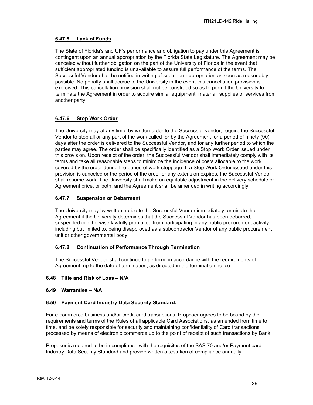# <span id="page-28-0"></span>**6.47.5 Lack of Funds**

The State of Florida's and UF's performance and obligation to pay under this Agreement is contingent upon an annual appropriation by the Florida State Legislature. The Agreement may be canceled without further obligation on the part of the University of Florida in the event that sufficient appropriated funding is unavailable to assure full performance of the terms. The Successful Vendor shall be notified in writing of such non-appropriation as soon as reasonably possible. No penalty shall accrue to the University in the event this cancellation provision is exercised. This cancellation provision shall not be construed so as to permit the University to terminate the Agreement in order to acquire similar equipment, material, supplies or services from another party.

# <span id="page-28-1"></span>**6.47.6 Stop Work Order**

The University may at any time, by written order to the Successful vendor, require the Successful Vendor to stop all or any part of the work called for by the Agreement for a period of ninety (90) days after the order is delivered to the Successful Vendor, and for any further period to which the parties may agree. The order shall be specifically identified as a Stop Work Order issued under this provision. Upon receipt of the order, the Successful Vendor shall immediately comply with its terms and take all reasonable steps to minimize the incidence of costs allocable to the work covered by the order during the period of work stoppage. If a Stop Work Order issued under this provision is canceled or the period of the order or any extension expires, the Successful Vendor shall resume work. The University shall make an equitable adjustment in the delivery schedule or Agreement price, or both, and the Agreement shall be amended in writing accordingly.

#### <span id="page-28-2"></span>**6.47.7 Suspension or Debarment**

The University may by written notice to the Successful Vendor immediately terminate the Agreement if the University determines that the Successful Vendor has been debarred, suspended or otherwise lawfully prohibited from participating in any public procurement activity, including but limited to, being disapproved as a subcontractor Vendor of any public procurement unit or other governmental body.

# <span id="page-28-3"></span>**6.47.8 Continuation of Performance Through Termination**

The Successful Vendor shall continue to perform, in accordance with the requirements of Agreement, up to the date of termination, as directed in the termination notice.

#### <span id="page-28-4"></span>**6.48 Title and Risk of Loss – N/A**

#### <span id="page-28-5"></span>**6.49 Warranties – N/A**

#### <span id="page-28-6"></span>**6.50 Payment Card Industry Data Security Standard.**

For e-commerce business and/or credit card transactions, Proposer agrees to be bound by the requirements and terms of the Rules of all applicable Card Associations, as amended from time to time, and be solely responsible for security and maintaining confidentiality of Card transactions processed by means of electronic commerce up to the point of receipt of such transactions by Bank.

Proposer is required to be in compliance with the requisites of the SAS 70 and/or Payment card Industry Data Security Standard and provide written attestation of compliance annually.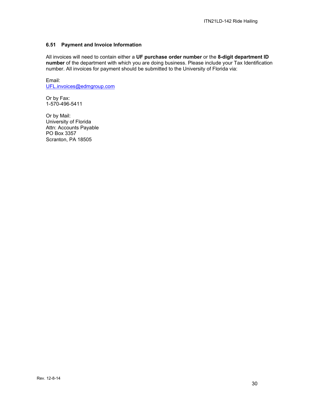## <span id="page-29-0"></span>**6.51 Payment and Invoice Information**

All invoices will need to contain either a **UF purchase order number** or the **8-digit department ID number** of the department with which you are doing business. Please include your Tax Identification number. All invoices for payment should be submitted to the University of Florida via:

Email: [UFL.invoices@edmgroup.com](mailto:UFL.invoices@edmgroup.com)

Or by Fax: 1-570-496-5411

Or by Mail: University of Florida Attn: Accounts Payable PO Box 3357 Scranton, PA 18505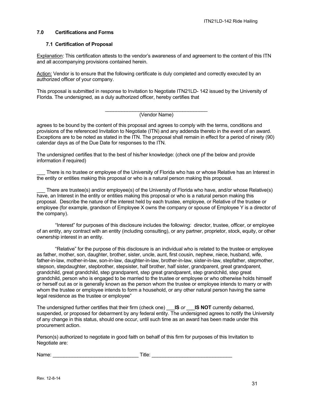#### <span id="page-30-0"></span>**7.0 Certifications and Forms**

#### <span id="page-30-1"></span>**7.1 Certification of Proposal**

Explanation: This certification attests to the vendor's awareness of and agreement to the content of this ITN and all accompanying provisions contained herein.

Action: Vendor is to ensure that the following certificate is duly completed and correctly executed by an authorized officer of your company.

This proposal is submitted in response to Invitation to Negotiate ITN21LD- 142 issued by the University of Florida. The undersigned, as a duly authorized officer, hereby certifies that

#### \_\_\_\_\_\_\_\_\_\_\_\_\_\_\_\_\_\_\_\_\_\_\_\_\_\_\_\_\_\_\_\_\_\_\_\_\_ (Vendor Name)

agrees to be bound by the content of this proposal and agrees to comply with the terms, conditions and provisions of the referenced Invitation to Negotiate (ITN) and any addenda thereto in the event of an award. Exceptions are to be noted as stated in the ITN. The proposal shall remain in effect for a period of ninety (90) calendar days as of the Due Date for responses to the ITN.

The undersigned certifies that to the best of his/her knowledge: (check one pf the below and provide information if required)

There is no trustee or employee of the University of Florida who has or whose Relative has an Interest in the entity or entities making this proposal or who is a natural person making this proposal.

There are trustee(s) and/or employee(s) of the University of Florida who have, and/or whose Relative(s) have, an Interest in the entity or entities making this proposal or who is a natural person making this proposal. Describe the nature of the interest held by each trustee, employee, or Relative of the trustee or employee (for example, grandson of Employee X owns the company or spouse of Employee Y is a director of the company).

"Interest" for purposes of this disclosure includes the following: director, trustee, officer, or employee of an entity, any contract with an entity (including consulting), or any partner, proprietor, stock, equity, or other ownership interest in an entity.

"Relative" for the purpose of this disclosure is an individual who is related to the trustee or employee as father, mother, son, daughter, brother, sister, uncle, aunt, first cousin, nephew, niece, husband, wife, father-in-law, mother-in-law, son-in-law, daughter-in-law, brother-in-law, sister-in-law, stepfather, stepmother, stepson, stepdaughter, stepbrother, stepsister, half brother, half sister, grandparent, great grandparent, grandchild, great grandchild, step grandparent, step great grandparent, step grandchild, step great grandchild, person who is engaged to be married to the trustee or employee or who otherwise holds himself or herself out as or is generally known as the person whom the trustee or employee intends to marry or with whom the trustee or employee intends to form a household, or any other natural person having the same legal residence as the trustee or employee"

The undersigned further certifies that their firm (check one) \_\_\_**IS** *or* \_\_\_**IS NOT** currently debarred, suspended, or proposed for debarment by any federal entity. The undersigned agrees to notify the University of any change in this status, should one occur, until such time as an award has been made under this procurement action.

Person(s) authorized to negotiate in good faith on behalf of this firm for purposes of this Invitation to Negotiate are:

Name: example and the set of  $\blacksquare$  Title:  $\blacksquare$